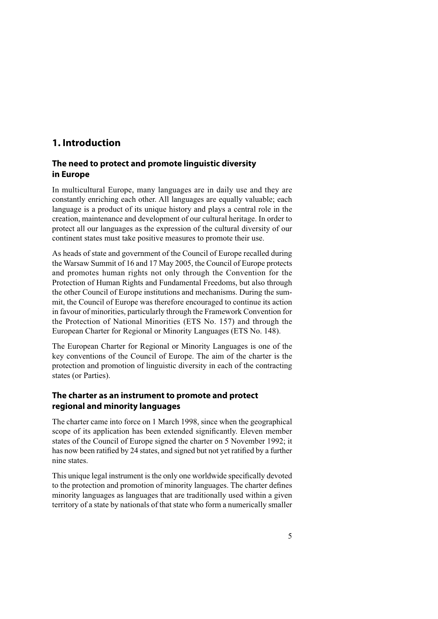# **1. Introduction**

## **The need to protect and promote linguistic diversity in Europe**

In multicultural Europe, many languages are in daily use and they are constantly enriching each other. All languages are equally valuable; each language is a product of its unique history and plays a central role in the creation, maintenance and development of our cultural heritage. In order to protect all our languages as the expression of the cultural diversity of our continent states must take positive measures to promote their use.

As heads of state and government of the Council of Europe recalled during the Warsaw Summit of 16 and 17 May 2005, the Council of Europe protects and promotes human rights not only through the Convention for the Protection of Human Rights and Fundamental Freedoms, but also through the other Council of Europe institutions and mechanisms. During the sum mit, the Council of Europe was therefore encouraged to continue its action in favour of minorities, particularly through the Framework Convention for the Protection of National Minorities (ETS No. 157) and through the European Charter for Regional or Minority Languages (ETS No. 148).

The European Charter for Regional or Minority Languages is one of the key conventions of the Council of Europe. The aim of the charter is the protection and promotion of linguistic diversity in each of the contracting states (or Parties).

## **The charter as an instrument to promote and protect regional and minority languages**

The charter came into force on 1 March 1998, since when the geographical scope of its application has been extended significantly. Eleven member states of the Council of Europe signed the charter on 5 November 1992; it has now been ratified by 24 states, and signed but not yet ratified by a further nine states.

This unique legal instrument is the only one worldwide specifically devoted to the protection and promotion of minority languages. The charter defines minority languages as languages that are traditionally used within a given territory of a state by nationals of that state who form a numerically smaller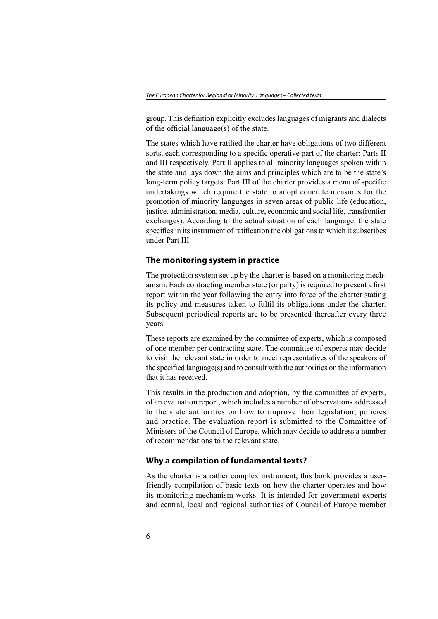group. This definition explicitly excludeslanguages of migrants and dialects of the official language(s) of the state.

The states which have ratified the charter have obligations of two different sorts, each corresponding to a specific operative part of the charter: Parts II and III respectively. Part II applies to all minority languages spoken within the state and lays down the aims and principles which are to be the state's long-term policy targets. Part III of the charter provides a menu of specific undertakings which require the state to adopt concrete measures for the promotion of minority languages in seven areas of public life (education, justice, administration, media, culture, economic and social life, transfrontier exchanges). According to the actual situation of each language, the state specifies in its instrument of ratification the obligations to which it subscribes under Part III.

# **The monitoring system in practice**

The protection system set up by the charter is based on a monitoring mech anism. Each contracting member state (or party) is required to present a first report within the year following the entry into force of the charter stating its policy and measures taken to fulfil its obligations under the charter. Subsequent periodical reports are to be presented thereafter every three years.

These reports are examined by the committee of experts, which is composed of one member per contracting state. The committee of experts may decide to visit the relevant state in order to meet representatives of the speakers of the specified language(s) and to consult with the authorities on the information that it has received.

This results in the production and adoption, by the committee of experts, of an evaluation report, which includes a number of observations addressed to the state authorities on how to improve their legislation, policies and practice. The evaluation report is submitted to the Committee of Ministers of the Council of Europe, which may decide to address a number of recommendations to the relevant state.

# **Why a compilation of fundamental texts?**

As the charter is a rather complex instrument, this book provides a userfriendly compilation of basic texts on how the charter operates and how its monitoring mechanism works. It is intended for government experts and central, local and regional authorities of Council of Europe member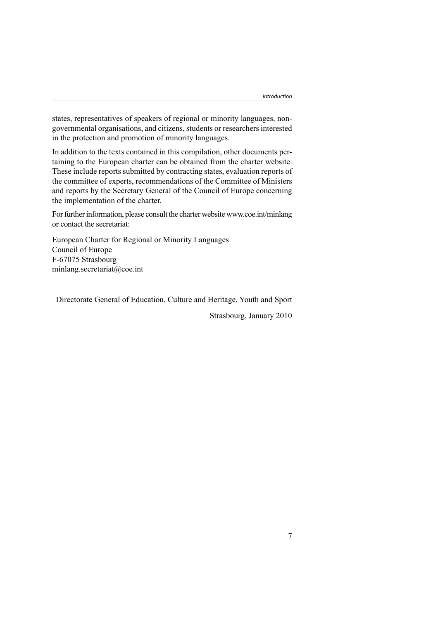states, representatives of speakers of regional or minority languages, non governmental organisations, and citizens, students or researchers interested in the protection and promotion of minority languages.

In addition to the texts contained in this compilation, other documents pertaining to the European charter can be obtained from the charter website. These include reports submitted by contracting states, evaluation reports of the committee of experts, recommendations of the Committee of Ministers and reports by the Secretary General of the Council of Europe concerning the implementation of the charter.

For further information, please consult the charter website www.coe.int/minlang or contact the secretariat:

European Charter for Regional or Minority Languages Council of Europe F-67075 Strasbourg minlang.secretariat@coe.int

Directorate General of Education, Culture and Heritage, Youth and Sport

Strasbourg, January 2010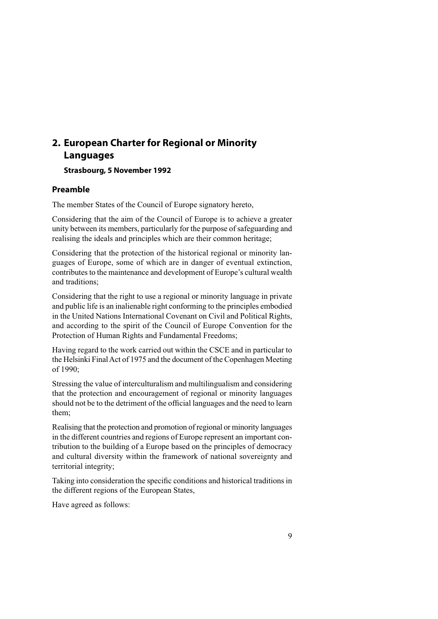# **2. European Charter for Regional or Minority Languages**

**Strasbourg, 5 November 1992**

### **Preamble**

The member States of the Council of Europe signatory hereto,

Considering that the aim of the Council of Europe is to achieve a greater unity between its members, particularly for the purpose of safeguarding and realising the ideals and principles which are their common heritage;

Considering that the protection of the historical regional or minority lan guages of Europe, some of which are in danger of eventual extinction, contributes to the maintenance and development of Europe's cultural wealth and traditions;

Considering that the right to use a regional or minority language in private and public life is an inalienable right conforming to the principles embodied in the United Nations International Covenant on Civil and Political Rights, and according to the spirit of the Council of Europe Convention for the Protection of Human Rights and Fundamental Freedoms;

Having regard to the work carried out within the CSCE and in particular to the Helsinki Final Act of 1975 and the document of the Copenhagen Meeting of 1990;

Stressing the value of interculturalism and multilingualism and considering that the protection and encouragement of regional or minority languages should not be to the detriment of the official languages and the need to learn them;

Realising that the protection and promotion of regional or minority languages in the different countries and regions of Europe represent an important con tribution to the building of a Europe based on the principles of democracy and cultural diversity within the framework of national sovereignty and territorial integrity;

Taking into consideration the specific conditions and historical traditions in the different regions of the European States,

Have agreed as follows: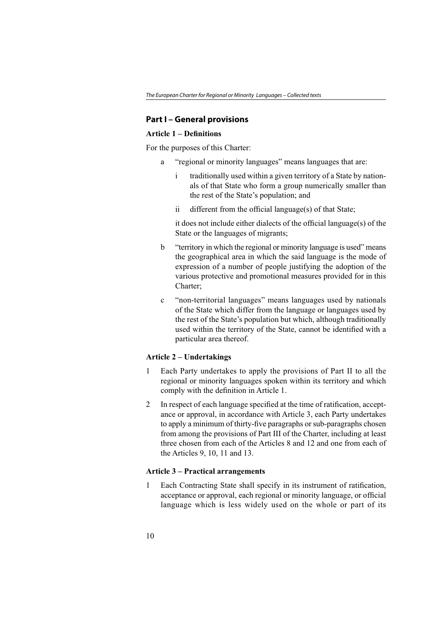# **Part I – General provisions**

### **Article 1 – Definitions**

For the purposes of this Charter:

- a "regional or minority languages" means languages that are:
	- i traditionally used within a given territory of a State by nation als of that State who form a group numerically smaller than the rest of the State's population; and
	- ii different from the official language(s) of that State;

it does not include either dialects of the official language(s) of the State or the languages of migrants;

- b "territory in which the regional or minority language is used" means the geographical area in which the said language is the mode of expression of a number of people justifying the adoption of the various protective and promotional measures provided for in this Charter;
- c "non-territorial languages" means languages used by nationals of the State which differ from the language or languages used by the rest of the State's population but which, although traditionally used within the territory of the State, cannot be identified with a particular area thereof.

### **Article 2 – Undertakings**

- 1 Each Party undertakes to apply the provisions of Part II to all the regional or minority languages spoken within its territory and which comply with the definition in Article 1.
- 2 In respect of each language specified at the time of ratification, accept ance or approval, in accordance with Article 3, each Party undertakes to apply a minimum of thirty-five paragraphs orsub-paragraphs chosen from among the provisions of Part III of the Charter, including at least three chosen from each of the Articles 8 and 12 and one from each of the Articles 9, 10, 11 and 13.

### **Article 3 – Practical arrangements**

1 Each Contracting State shall specify in its instrument of ratification, acceptance or approval, each regional or minority language, or official language which is less widely used on the whole or part of its